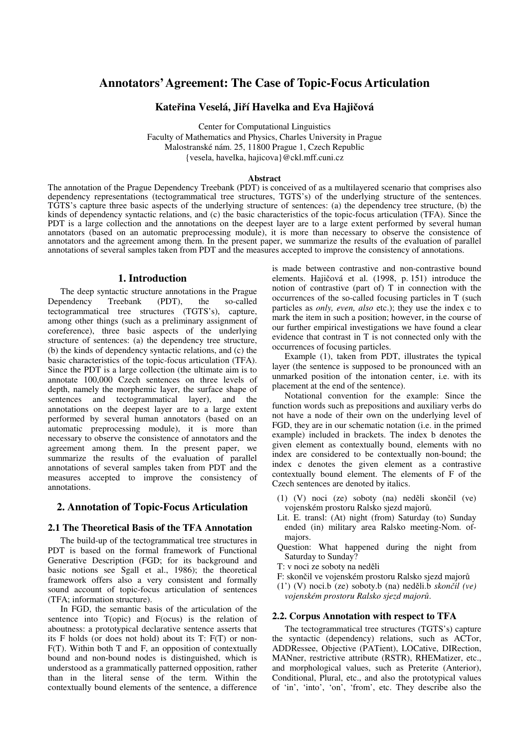# **Annotators'Agreement: The Case of Topic-Focus Articulation**

# **Kateina Veselá, Jií Havelka and Eva Haji**-**ová**

Center for Computational Linguistics Faculty of Mathematics and Physics, Charles University in Prague Malostranské nám. 25, 11800 Prague 1, Czech Republic {vesela, havelka, hajicova}@ckl.mff.cuni.cz

## **Abstract**

The annotation of the Prague Dependency Treebank (PDT) is conceived of as a multilayered scenario that comprises also dependency representations (tectogrammatical tree structures, TGTS's) of the underlying structure of the sentences. TGTS's capture three basic aspects of the underlying structure of sentences: (a) the dependency tree structure, (b) the kinds of dependency syntactic relations, and (c) the basic characteristics of the topic-focus articulation (TFA). Since the PDT is a large collection and the annotations on the deepest layer are to a large extent performed by several human annotators (based on an automatic preprocessing module), it is more than necessary to observe the consistence of annotators and the agreement among them. In the present paper, we summarize the results of the evaluation of parallel annotations of several samples taken from PDT and the measures accepted to improve the consistency of annotations.

#### **1. Introduction**

The deep syntactic structure annotations in the Prague Dependency Treebank (PDT), the so-called tectogrammatical tree structures (TGTS's), capture, among other things (such as a preliminary assignment of coreference), three basic aspects of the underlying structure of sentences: (a) the dependency tree structure, (b) the kinds of dependency syntactic relations, and (c) the basic characteristics of the topic-focus articulation (TFA). Since the PDT is a large collection (the ultimate aim is to annotate 100,000 Czech sentences on three levels of depth, namely the morphemic layer, the surface shape of sentences and tectogrammatical layer), and the annotations on the deepest layer are to a large extent performed by several human annotators (based on an automatic preprocessing module), it is more than necessary to observe the consistence of annotators and the agreement among them. In the present paper, we summarize the results of the evaluation of parallel annotations of several samples taken from PDT and the measures accepted to improve the consistency of annotations.

# **2. Annotation of Topic-Focus Articulation**

#### **2.1 The Theoretical Basis of the TFA Annotation**

The build-up of the tectogrammatical tree structures in PDT is based on the formal framework of Functional Generative Description (FGD; for its background and basic notions see Sgall et al., 1986); the theoretical framework offers also a very consistent and formally sound account of topic-focus articulation of sentences (TFA; information structure).

In FGD, the semantic basis of the articulation of the sentence into T(opic) and F(ocus) is the relation of aboutness: a prototypical declarative sentence asserts that its F holds (or does not hold) about its T: F(T) or non-F(T). Within both T and F, an opposition of contextually bound and non-bound nodes is distinguished, which is understood as a grammatically patterned opposition, rather than in the literal sense of the term. Within the contextually bound elements of the sentence, a difference

is made between contrastive and non-contrastive bound elements. Hajičová et al. (1998, p. 151) introduce the notion of contrastive (part of) T in connection with the occurrences of the so-called focusing particles in T (such particles as *only, even, also* etc.); they use the index c to mark the item in such a position; however, in the course of our further empirical investigations we have found a clear evidence that contrast in T is not connected only with the occurrences of focusing particles.

Example (1), taken from PDT, illustrates the typical layer (the sentence is supposed to be pronounced with an unmarked position of the intonation center, i.e. with its placement at the end of the sentence).

Notational convention for the example: Since the function words such as prepositions and auxiliary verbs do not have a node of their own on the underlying level of FGD, they are in our schematic notation (i.e. in the primed example) included in brackets. The index b denotes the given element as contextually bound, elements with no index are considered to be contextually non-bound; the index c denotes the given element as a contrastive contextually bound element. The elements of F of the Czech sentences are denoted by italics.

- (1) (V) noci (ze) soboty (na) neděli skončil (ve) vojenském prostoru Ralsko sjezd major.
- Lit. E. transl: (At) night (from) Saturday (to) Sunday ended (in) military area Ralsko meeting-Nom. ofmajors.
- Question: What happened during the night from Saturday to Sunday?
- T: v noci ze soboty na neděli
- F: skončil ve vojenském prostoru Ralsko sjezd majorů
- (1') (V) noci.b (ze) soboty.b (na) ned-li.b *skonil (ve) vojenském prostoru Ralsko sjezd major*-.

# **2.2. Corpus Annotation with respect to TFA**

The tectogrammatical tree structures (TGTS's) capture the syntactic (dependency) relations, such as ACTor, ADDRessee, Objective (PATient), LOCative, DIRection, MANner, restrictive attribute (RSTR), RHEMatizer, etc., and morphological values, such as Preterite (Anterior), Conditional, Plural, etc., and also the prototypical values of 'in', 'into', 'on', 'from', etc. They describe also the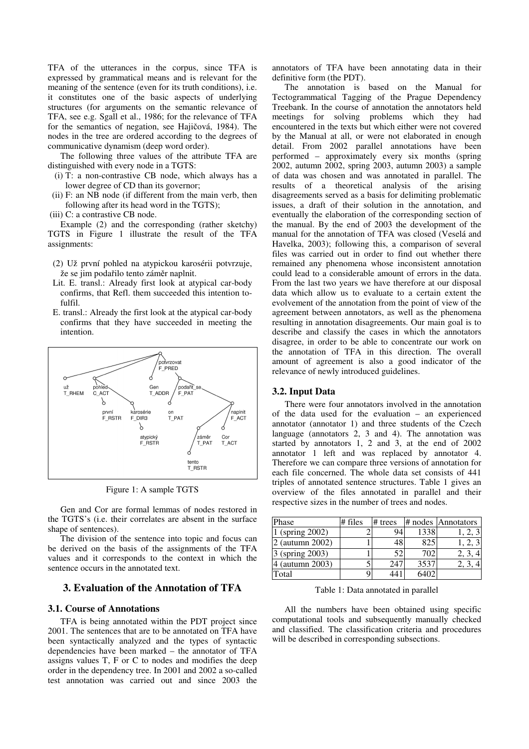TFA of the utterances in the corpus, since TFA is expressed by grammatical means and is relevant for the meaning of the sentence (even for its truth conditions), i.e. it constitutes one of the basic aspects of underlying structures (for arguments on the semantic relevance of TFA, see e.g. Sgall et al., 1986; for the relevance of TFA for the semantics of negation, see Hajičová, 1984). The nodes in the tree are ordered according to the degrees of communicative dynamism (deep word order).

The following three values of the attribute TFA are distinguished with every node in a TGTS:

- (i) T: a non-contrastive CB node, which always has a lower degree of CD than its governor;
- (ii) F: an NB node (if different from the main verb, then following after its head word in the TGTS);
- (iii) C: a contrastive CB node.

Example (2) and the corresponding (rather sketchy) TGTS in Figure 1 illustrate the result of the TFA assignments:

- (2) Už první pohled na atypickou karosérii potvrzuje, že se jim podařilo tento záměr naplnit.
- Lit. E. transl.: Already first look at atypical car-body confirms, that Refl. them succeeded this intention tofulfil.
- E. transl.: Already the first look at the atypical car-body confirms that they have succeeded in meeting the intention.



Figure 1: A sample TGTS

Gen and Cor are formal lemmas of nodes restored in the TGTS's (i.e. their correlates are absent in the surface shape of sentences).

The division of the sentence into topic and focus can be derived on the basis of the assignments of the TFA values and it corresponds to the context in which the sentence occurs in the annotated text.

# **3. Evaluation of the Annotation of TFA**

# **3.1. Course of Annotations**

TFA is being annotated within the PDT project since 2001. The sentences that are to be annotated on TFA have been syntactically analyzed and the types of syntactic dependencies have been marked – the annotator of TFA assigns values T, F or C to nodes and modifies the deep order in the dependency tree. In 2001 and 2002 a so-called test annotation was carried out and since 2003 the annotators of TFA have been annotating data in their definitive form (the PDT).

The annotation is based on the Manual for Tectogrammatical Tagging of the Prague Dependency Treebank. In the course of annotation the annotators held meetings for solving problems which they had encountered in the texts but which either were not covered by the Manual at all, or were not elaborated in enough detail. From 2002 parallel annotations have been performed – approximately every six months (spring 2002, autumn 2002, spring 2003, autumn 2003) a sample of data was chosen and was annotated in parallel. The results of a theoretical analysis of the arising disagreements served as a basis for delimiting problematic issues, a draft of their solution in the annotation, and eventually the elaboration of the corresponding section of the manual. By the end of 2003 the development of the manual for the annotation of TFA was closed (Veselá and Havelka, 2003); following this, a comparison of several files was carried out in order to find out whether there remained any phenomena whose inconsistent annotation could lead to a considerable amount of errors in the data. From the last two years we have therefore at our disposal data which allow us to evaluate to a certain extent the evolvement of the annotation from the point of view of the agreement between annotators, as well as the phenomena resulting in annotation disagreements. Our main goal is to describe and classify the cases in which the annotators disagree, in order to be able to concentrate our work on the annotation of TFA in this direction. The overall amount of agreement is also a good indicator of the relevance of newly introduced guidelines.

#### **3.2. Input Data**

There were four annotators involved in the annotation of the data used for the evaluation – an experienced annotator (annotator 1) and three students of the Czech language (annotators 2, 3 and 4). The annotation was started by annotators 1, 2 and 3, at the end of 2002 annotator 1 left and was replaced by annotator 4. Therefore we can compare three versions of annotation for each file concerned. The whole data set consists of 441 triples of annotated sentence structures. Table 1 gives an overview of the files annotated in parallel and their respective sizes in the number of trees and nodes.

| Phase            | $#$ files | $#$ trees |      | # nodes Annotators |
|------------------|-----------|-----------|------|--------------------|
| (spring 2002)    |           | 94        | 1338 |                    |
| $($ autumn 2002) |           | 48        | 825  |                    |
| 3 (spring 2003)  |           | 52        | 702  |                    |
| $($ autumn 2003) |           | 247       | 3537 |                    |
| Total            |           | 14        |      |                    |

Table 1: Data annotated in parallel

All the numbers have been obtained using specific computational tools and subsequently manually checked and classified. The classification criteria and procedures will be described in corresponding subsections.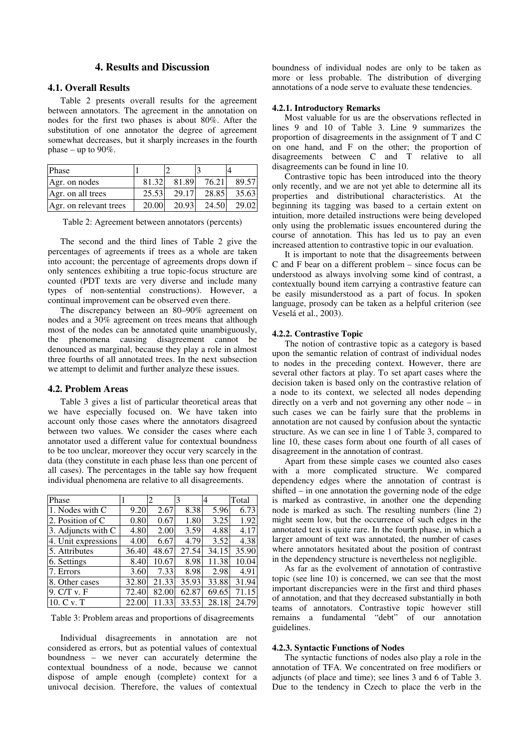# **4. Results and Discussion**

# **4.1. Overall Results**

Table 2 presents overall results for the agreement between annotators. The agreement in the annotation on nodes for the first two phases is about 80%. After the substitution of one annotator the degree of agreement somewhat decreases, but it sharply increases in the fourth phase – up to  $90\%$ .

| <b>Phase</b>           |       |       |       |       |
|------------------------|-------|-------|-------|-------|
| Agr. on nodes          | 81.32 | 81.89 | 76.21 | 89.57 |
| Agr. on all trees      | 25.53 | 29.17 | 28.85 | 35.63 |
| Agr. on relevant trees | 20.00 | 20.93 | 24.50 | 29.02 |

Table 2: Agreement between annotators (percents)

The second and the third lines of Table 2 give the percentages of agreements if trees as a whole are taken into account; the percentage of agreements drops down if only sentences exhibiting a true topic-focus structure are counted (PDT texts are very diverse and include many types of non-sentential constructions). However, a continual improvement can be observed even there.

The discrepancy between an 80–90% agreement on nodes and a 30% agreement on trees means that although most of the nodes can be annotated quite unambiguously, the phenomena causing disagreement cannot be denounced as marginal, because they play a role in almost three fourths of all annotated trees. In the next subsection we attempt to delimit and further analyze these issues.

#### **4.2. Problem Areas**

Table 3 gives a list of particular theoretical areas that we have especially focused on. We have taken into account only those cases where the annotators disagreed between two values. We consider the cases where each annotator used a different value for contextual boundness to be too unclear, moreover they occur very scarcely in the data (they constitute in each phase less than one percent of all cases). The percentages in the table say how frequent individual phenomena are relative to all disagreements.

| Phase               |       | $\overline{c}$ | 3     | 4     | Total |
|---------------------|-------|----------------|-------|-------|-------|
| 1. Nodes with C     | 9.20  | 2.67           | 8.38  | 5.96  | 6.73  |
| 2. Position of C    | 0.80  | 0.67           | 1.80  | 3.25  | 1.92  |
| 3. Adjuncts with C  | 4.80  | 2.00           | 3.59  | 4.88  | 4.17  |
| 4. Unit expressions | 4.00  | 6.67           | 4.79  | 3.52  | 4.38  |
| 5. Attributes       | 36.40 | 48.67          | 27.54 | 34.15 | 35.90 |
| 6. Settings         | 8.40  | 10.67          | 8.98  | 11.38 | 10.04 |
| 7. Errors           | 3.60  | 7.33           | 8.98  | 2.98  | 4.91  |
| 8. Other cases      | 32.80 | 21.33          | 35.93 | 33.88 | 31.94 |
| 9. C/T v. F         | 72.40 | 82.00          | 62.87 | 69.65 | 71.15 |
| 10. C v. T          | 22.00 | 11.33          | 33.53 | 28.18 | 24.79 |

Table 3: Problem areas and proportions of disagreements

Individual disagreements in annotation are not considered as errors, but as potential values of contextual boundness – we never can accurately determine the contextual boundness of a node, because we cannot dispose of ample enough (complete) context for a univocal decision. Therefore, the values of contextual boundness of individual nodes are only to be taken as more or less probable. The distribution of diverging annotations of a node serve to evaluate these tendencies.

# **4.2.1. Introductory Remarks**

Most valuable for us are the observations reflected in lines 9 and 10 of Table 3. Line 9 summarizes the proportion of disagreements in the assignment of T and C on one hand, and F on the other; the proportion of disagreements between C and T relative to all disagreements can be found in line 10.

Contrastive topic has been introduced into the theory only recently, and we are not yet able to determine all its properties and distributional characteristics. At the beginning its tagging was based to a certain extent on intuition, more detailed instructions were being developed only using the problematic issues encountered during the course of annotation. This has led us to pay an even increased attention to contrastive topic in our evaluation.

It is important to note that the disagreements between C and F bear on a different problem – since focus can be understood as always involving some kind of contrast, a contextually bound item carrying a contrastive feature can be easily misunderstood as a part of focus. In spoken language, prosody can be taken as a helpful criterion (see Veselá et al., 2003).

#### **4.2.2. Contrastive Topic**

The notion of contrastive topic as a category is based upon the semantic relation of contrast of individual nodes to nodes in the preceding context. However, there are several other factors at play. To set apart cases where the decision taken is based only on the contrastive relation of a node to its context, we selected all nodes depending directly on a verb and not governing any other node – in such cases we can be fairly sure that the problems in annotation are not caused by confusion about the syntactic structure. As we can see in line 1 of Table 3, compared to line 10, these cases form about one fourth of all cases of disagreement in the annotation of contrast.

Apart from these simple cases we counted also cases with a more complicated structure. We compared dependency edges where the annotation of contrast is shifted – in one annotation the governing node of the edge is marked as contrastive, in another one the depending node is marked as such. The resulting numbers (line 2) might seem low, but the occurrence of such edges in the annotated text is quite rare. In the fourth phase, in which a larger amount of text was annotated, the number of cases where annotators hesitated about the position of contrast in the dependency structure is nevertheless not negligible.

As far as the evolvement of annotation of contrastive topic (see line 10) is concerned, we can see that the most important discrepancies were in the first and third phases of annotation, and that they decreased substantially in both teams of annotators. Contrastive topic however still remains a fundamental "debt" of our annotation guidelines.

#### **4.2.3. Syntactic Functions of Nodes**

The syntactic functions of nodes also play a role in the annotation of TFA. We concentrated on free modifiers or adjuncts (of place and time); see lines 3 and 6 of Table 3. Due to the tendency in Czech to place the verb in the